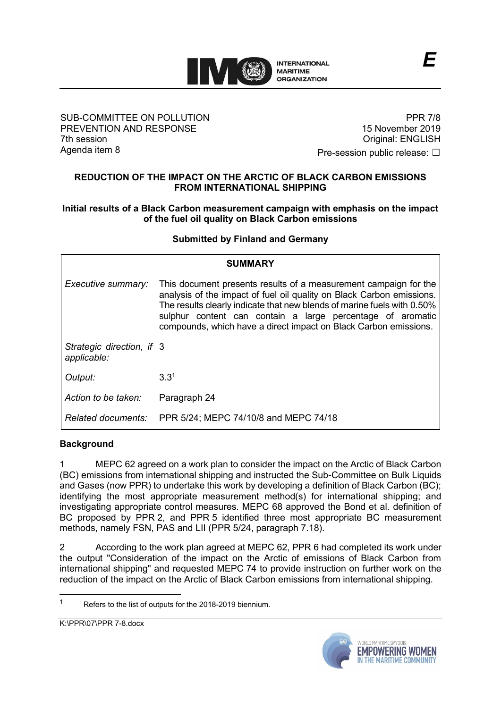

### SUB-COMMITTEE ON POLLUTION PREVENTION AND RESPONSE 7th session Agenda item 8

PPR 7/8 15 November 2019 Original: ENGLISH

Pre-session public release: □

## **REDUCTION OF THE IMPACT ON THE ARCTIC OF BLACK CARBON EMISSIONS FROM INTERNATIONAL SHIPPING**

## **Initial results of a Black Carbon measurement campaign with emphasis on the impact of the fuel oil quality on Black Carbon emissions**

# **Submitted by Finland and Germany**

| <b>SUMMARY</b>                           |                                                                                                                                                                                                                                                                                                                                                        |  |  |
|------------------------------------------|--------------------------------------------------------------------------------------------------------------------------------------------------------------------------------------------------------------------------------------------------------------------------------------------------------------------------------------------------------|--|--|
| Executive summary:                       | This document presents results of a measurement campaign for the<br>analysis of the impact of fuel oil quality on Black Carbon emissions.<br>The results clearly indicate that new blends of marine fuels with 0.50%<br>sulphur content can contain a large percentage of aromatic<br>compounds, which have a direct impact on Black Carbon emissions. |  |  |
| Strategic direction, if 3<br>applicable: |                                                                                                                                                                                                                                                                                                                                                        |  |  |
| Output:                                  | 3.3 <sup>1</sup>                                                                                                                                                                                                                                                                                                                                       |  |  |
| Action to be taken:                      | Paragraph 24                                                                                                                                                                                                                                                                                                                                           |  |  |
|                                          | Related documents: PPR 5/24; MEPC 74/10/8 and MEPC 74/18                                                                                                                                                                                                                                                                                               |  |  |

### **Background**

MEPC 62 agreed on a work plan to consider the impact on the Arctic of Black Carbon (BC) emissions from international shipping and instructed the Sub-Committee on Bulk Liquids and Gases (now PPR) to undertake this work by developing a definition of Black Carbon (BC); identifying the most appropriate measurement method(s) for international shipping; and investigating appropriate control measures. MEPC 68 approved the Bond et al. definition of BC proposed by PPR 2, and PPR 5 identified three most appropriate BC measurement methods, namely FSN, PAS and LII (PPR 5/24, paragraph 7.18).

2 According to the work plan agreed at MEPC 62, PPR 6 had completed its work under the output "Consideration of the impact on the Arctic of emissions of Black Carbon from international shipping" and requested MEPC 74 to provide instruction on further work on the reduction of the impact on the Arctic of Black Carbon emissions from international shipping.



Refers to the list of outputs for the 2018-2019 biennium.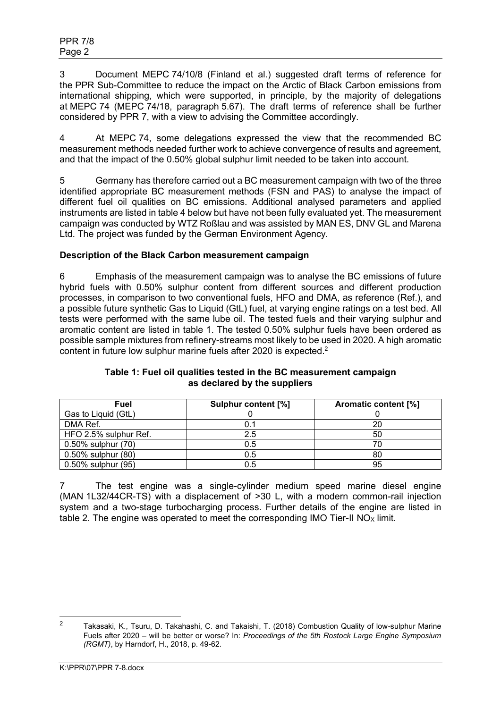3 Document MEPC 74/10/8 (Finland et al.) suggested draft terms of reference for the PPR Sub-Committee to reduce the impact on the Arctic of Black Carbon emissions from international shipping, which were supported, in principle, by the majority of delegations at MEPC 74 (MEPC 74/18, paragraph 5.67). The draft terms of reference shall be further considered by PPR 7, with a view to advising the Committee accordingly.

4 At MEPC 74, some delegations expressed the view that the recommended BC measurement methods needed further work to achieve convergence of results and agreement, and that the impact of the 0.50% global sulphur limit needed to be taken into account.

5 Germany has therefore carried out a BC measurement campaign with two of the three identified appropriate BC measurement methods (FSN and PAS) to analyse the impact of different fuel oil qualities on BC emissions. Additional analysed parameters and applied instruments are listed in table 4 below but have not been fully evaluated yet. The measurement campaign was conducted by WTZ Roßlau and was assisted by MAN ES, DNV GL and Marena Ltd. The project was funded by the German Environment Agency.

# **Description of the Black Carbon measurement campaign**

6 Emphasis of the measurement campaign was to analyse the BC emissions of future hybrid fuels with 0.50% sulphur content from different sources and different production processes, in comparison to two conventional fuels, HFO and DMA, as reference (Ref.), and a possible future synthetic Gas to Liquid (GtL) fuel, at varying engine ratings on a test bed. All tests were performed with the same lube oil. The tested fuels and their varying sulphur and aromatic content are listed in table 1. The tested 0.50% sulphur fuels have been ordered as possible sample mixtures from refinery-streams most likely to be used in 2020. A high aromatic content in future low sulphur marine fuels after 2020 is expected.<sup>2</sup>

| Fuel                  | <b>Sulphur content [%]</b> | <b>Aromatic content [%]</b> |
|-----------------------|----------------------------|-----------------------------|
| Gas to Liquid (GtL)   |                            |                             |
| DMA Ref.              |                            | 20                          |
| HFO 2.5% sulphur Ref. | 2.5                        | 50                          |
| 0.50% sulphur (70)    | 0.5                        |                             |
| 0.50% sulphur (80)    | 0.5                        | 80                          |
| 0.50% sulphur (95)    | 0.5                        | 95                          |

### **Table 1: Fuel oil qualities tested in the BC measurement campaign as declared by the suppliers**

7 The test engine was a single-cylinder medium speed marine diesel engine (MAN 1L32/44CR-TS) with a displacement of >30 L, with a modern common-rail injection system and a two-stage turbocharging process. Further details of the engine are listed in table 2. The engine was operated to meet the corresponding IMO Tier-II  $NO<sub>x</sub>$  limit.

<sup>&</sup>lt;sup>2</sup> Takasaki, K., Tsuru, D. Takahashi, C. and Takaishi, T. (2018) Combustion Quality of low-sulphur Marine Fuels after 2020 – will be better or worse? In: *Proceedings of the 5th Rostock Large Engine Symposium (RGMT)*, by Harndorf, H., 2018, p. 49-62.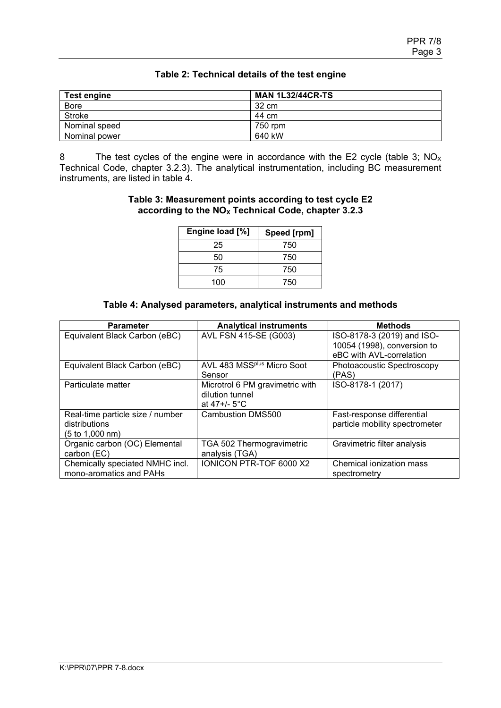| <b>Test engine</b> | <b>MAN 1L32/44CR-TS</b> |
|--------------------|-------------------------|
| Bore               | 32 cm                   |
| Stroke             | 44 cm                   |
| Nominal speed      | 750 rpm                 |
| Nominal power      | 640 kW                  |

## **Table 2: Technical details of the test engine**

8 The test cycles of the engine were in accordance with the E2 cycle (table 3;  $NO<sub>x</sub>$ ) Technical Code, chapter 3.2.3). The analytical instrumentation, including BC measurement instruments, are listed in table 4.

#### **Table 3: Measurement points according to test cycle E2 according to the NO<sup>X</sup> Technical Code, chapter 3.2.3**

| Engine load [%] | Speed [rpm] |
|-----------------|-------------|
| 25              | 750         |
| 50              | 750         |
| 75              | 750         |
| 100             | 750         |

### **Table 4: Analysed parameters, analytical instruments and methods**

| <b>Parameter</b>                 | <b>Analytical instruments</b>          | <b>Methods</b>                 |
|----------------------------------|----------------------------------------|--------------------------------|
| Equivalent Black Carbon (eBC)    | AVL FSN 415-SE (G003)                  | ISO-8178-3 (2019) and ISO-     |
|                                  |                                        | 10054 (1998), conversion to    |
|                                  |                                        | eBC with AVL-correlation       |
| Equivalent Black Carbon (eBC)    | AVL 483 MSS <sup>plus</sup> Micro Soot | Photoacoustic Spectroscopy     |
|                                  | Sensor                                 | (PAS)                          |
| Particulate matter               | Microtrol 6 PM gravimetric with        | ISO-8178-1 (2017)              |
|                                  | dilution tunnel                        |                                |
|                                  | at 47+/- 5°C                           |                                |
| Real-time particle size / number | Cambustion DMS500                      | Fast-response differential     |
| distributions                    |                                        | particle mobility spectrometer |
| (5 to 1,000 nm)                  |                                        |                                |
| Organic carbon (OC) Elemental    | TGA 502 Thermogravimetric              | Gravimetric filter analysis    |
| carbon (EC)                      | analysis (TGA)                         |                                |
| Chemically speciated NMHC incl.  | <b>IONICON PTR-TOF 6000 X2</b>         | Chemical ionization mass       |
| mono-aromatics and PAHs          |                                        | spectrometry                   |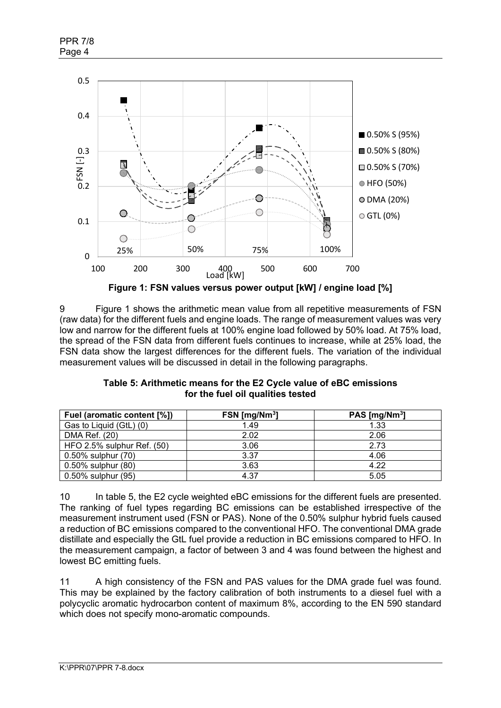

**Figure 1: FSN values versus power output [kW] / engine load [%]**

9 Figure 1 shows the arithmetic mean value from all repetitive measurements of FSN (raw data) for the different fuels and engine loads. The range of measurement values was very low and narrow for the different fuels at 100% engine load followed by 50% load. At 75% load, the spread of the FSN data from different fuels continues to increase, while at 25% load, the FSN data show the largest differences for the different fuels. The variation of the individual measurement values will be discussed in detail in the following paragraphs.

| Table 5: Arithmetic means for the E2 Cycle value of eBC emissions |
|-------------------------------------------------------------------|
| for the fuel oil qualities tested                                 |

| Fuel (aromatic content [%]) | $FSN$ [mg/Nm <sup>3</sup> ] | PAS [ $mg/Nm3$ ] |
|-----------------------------|-----------------------------|------------------|
| Gas to Liquid (GtL) (0)     | 1.49                        | 1.33             |
| DMA Ref. (20)               | 2.02                        | 2.06             |
| HFO 2.5% sulphur Ref. (50)  | 3.06                        | 2.73             |
| 0.50% sulphur (70)          | 3.37                        | 4.06             |
| 0.50% sulphur (80)          | 3.63                        | 4.22             |
| 0.50% sulphur (95)          | 4.37                        | 5.05             |

10 In table 5, the E2 cycle weighted eBC emissions for the different fuels are presented. The ranking of fuel types regarding BC emissions can be established irrespective of the measurement instrument used (FSN or PAS). None of the 0.50% sulphur hybrid fuels caused a reduction of BC emissions compared to the conventional HFO. The conventional DMA grade distillate and especially the GtL fuel provide a reduction in BC emissions compared to HFO. In the measurement campaign, a factor of between 3 and 4 was found between the highest and lowest BC emitting fuels.

11 A high consistency of the FSN and PAS values for the DMA grade fuel was found. This may be explained by the factory calibration of both instruments to a diesel fuel with a polycyclic aromatic hydrocarbon content of maximum 8%, according to the EN 590 standard which does not specify mono-aromatic compounds.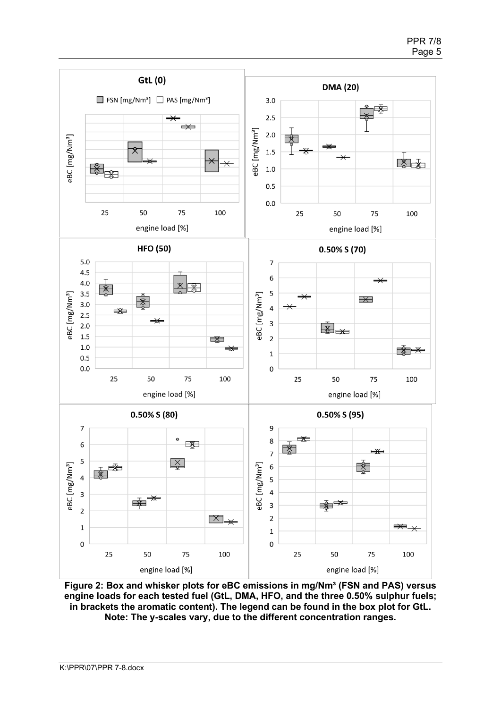

Figure 2: Box and whisker plots for eBC emissions in mg/Nm<sup>3</sup> (FSN and PAS) versus **engine loads for each tested fuel (GtL, DMA, HFO, and the three 0.50% sulphur fuels; in brackets the aromatic content). The legend can be found in the box plot for GtL. Note: The y-scales vary, due to the different concentration ranges.**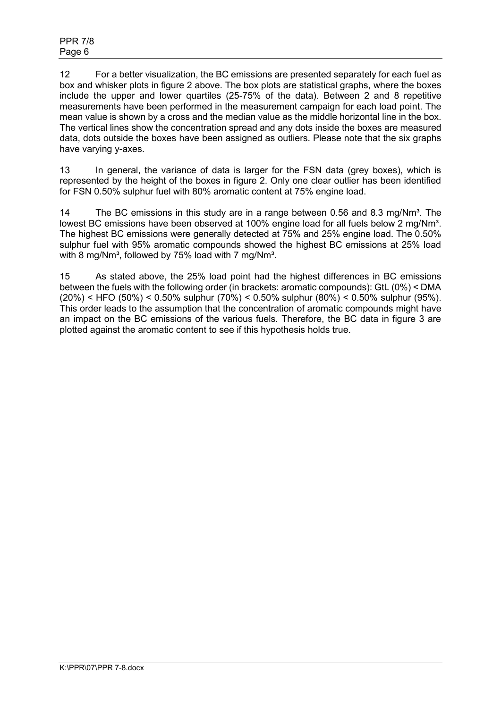12 For a better visualization, the BC emissions are presented separately for each fuel as box and whisker plots in figure 2 above. The box plots are statistical graphs, where the boxes include the upper and lower quartiles (25-75% of the data). Between 2 and 8 repetitive measurements have been performed in the measurement campaign for each load point. The mean value is shown by a cross and the median value as the middle horizontal line in the box. The vertical lines show the concentration spread and any dots inside the boxes are measured data, dots outside the boxes have been assigned as outliers. Please note that the six graphs have varying y-axes.

13 In general, the variance of data is larger for the FSN data (grey boxes), which is represented by the height of the boxes in figure 2. Only one clear outlier has been identified for FSN 0.50% sulphur fuel with 80% aromatic content at 75% engine load.

14 The BC emissions in this study are in a range between 0.56 and 8.3 mg/ $Nm<sup>3</sup>$ . The lowest BC emissions have been observed at 100% engine load for all fuels below 2 mg/Nm<sup>3</sup>. The highest BC emissions were generally detected at 75% and 25% engine load. The 0.50% sulphur fuel with 95% aromatic compounds showed the highest BC emissions at 25% load with 8 mg/Nm<sup>3</sup>, followed by 75% load with 7 mg/Nm<sup>3</sup>.

15 As stated above, the 25% load point had the highest differences in BC emissions between the fuels with the following order (in brackets: aromatic compounds): GtL (0%) < DMA (20%) < HFO (50%) < 0.50% sulphur (70%) < 0.50% sulphur (80%) < 0.50% sulphur (95%). This order leads to the assumption that the concentration of aromatic compounds might have an impact on the BC emissions of the various fuels. Therefore, the BC data in figure 3 are plotted against the aromatic content to see if this hypothesis holds true.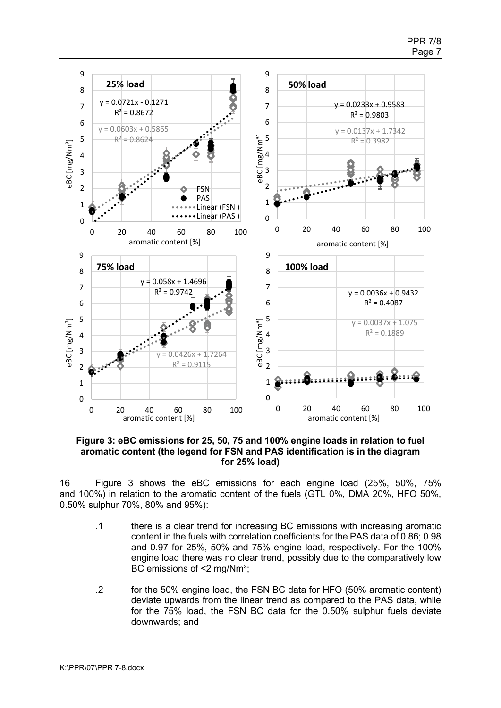

**Figure 3: eBC emissions for 25, 50, 75 and 100% engine loads in relation to fuel aromatic content (the legend for FSN and PAS identification is in the diagram for 25% load)**

16 Figure 3 shows the eBC emissions for each engine load (25%, 50%, 75% and 100%) in relation to the aromatic content of the fuels (GTL 0%, DMA 20%, HFO 50%, 0.50% sulphur 70%, 80% and 95%):

- .1 there is a clear trend for increasing BC emissions with increasing aromatic content in the fuels with correlation coefficients for the PAS data of 0.86; 0.98 and 0.97 for 25%, 50% and 75% engine load, respectively. For the 100% engine load there was no clear trend, possibly due to the comparatively low BC emissions of <2 mg/Nm<sup>3</sup>;
- .2 for the 50% engine load, the FSN BC data for HFO (50% aromatic content) deviate upwards from the linear trend as compared to the PAS data, while for the 75% load, the FSN BC data for the 0.50% sulphur fuels deviate downwards; and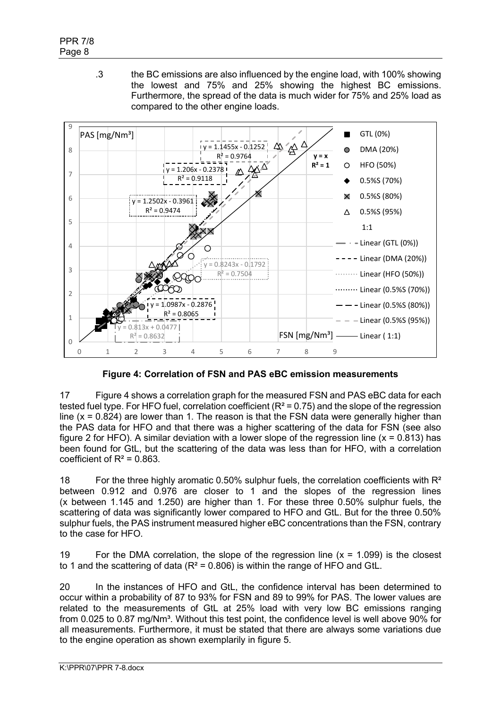.3 the BC emissions are also influenced by the engine load, with 100% showing the lowest and 75% and 25% showing the highest BC emissions. Furthermore, the spread of the data is much wider for 75% and 25% load as compared to the other engine loads.



**Figure 4: Correlation of FSN and PAS eBC emission measurements**

17 Figure 4 shows a correlation graph for the measured FSN and PAS eBC data for each tested fuel type. For HFO fuel, correlation coefficient ( $R^2$  = 0.75) and the slope of the regression line ( $x = 0.824$ ) are lower than 1. The reason is that the FSN data were generally higher than the PAS data for HFO and that there was a higher scattering of the data for FSN (see also figure 2 for HFO). A similar deviation with a lower slope of the regression line ( $x = 0.813$ ) has been found for GtL, but the scattering of the data was less than for HFO, with a correlation coefficient of  $R^2 = 0.863$ .

18 For the three highly aromatic 0.50% sulphur fuels, the correlation coefficients with  $R^2$ between 0.912 and 0.976 are closer to 1 and the slopes of the regression lines (x between 1.145 and 1.250) are higher than 1. For these three 0.50% sulphur fuels, the scattering of data was significantly lower compared to HFO and GtL. But for the three 0.50% sulphur fuels, the PAS instrument measured higher eBC concentrations than the FSN, contrary to the case for HFO.

19 For the DMA correlation, the slope of the regression line  $(x = 1.099)$  is the closest to 1 and the scattering of data ( $R^2$  = 0.806) is within the range of HFO and GtL.

20 In the instances of HFO and GtL, the confidence interval has been determined to occur within a probability of 87 to 93% for FSN and 89 to 99% for PAS. The lower values are related to the measurements of GtL at 25% load with very low BC emissions ranging from 0.025 to 0.87 mg/Nm<sup>3</sup>. Without this test point, the confidence level is well above 90% for all measurements. Furthermore, it must be stated that there are always some variations due to the engine operation as shown exemplarily in figure 5.